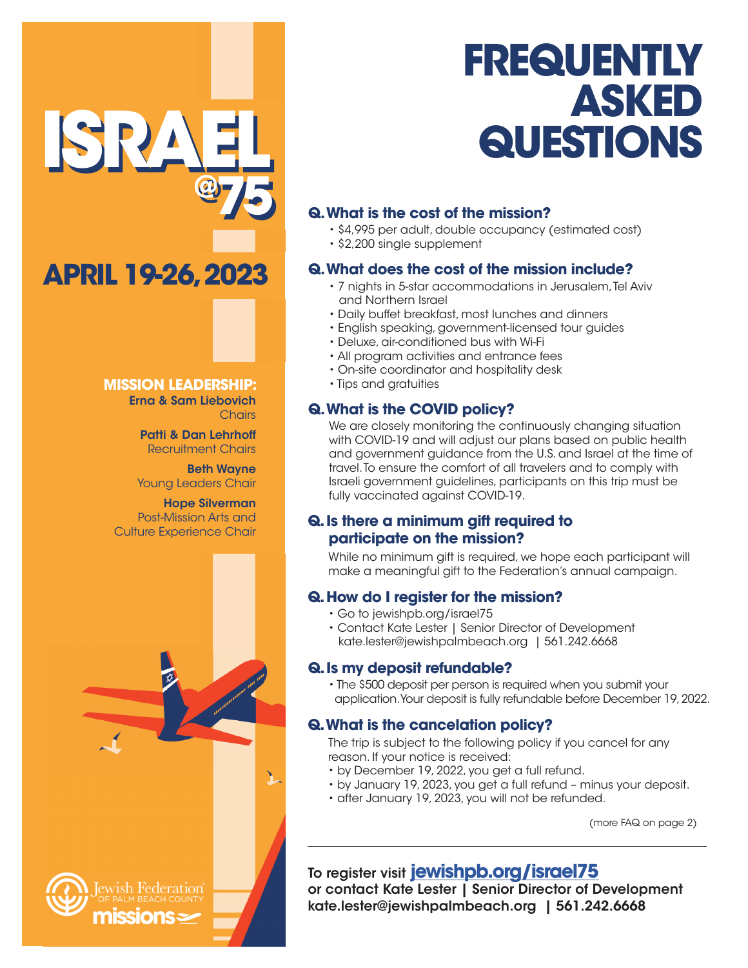# **FREQUENTLY ASKED QUESTIONS**

### **Q. What is the cost of the mission?**

- \$4,995 per adult, double occupancy (estimated cost)
- \$2,200 single supplement

### **Q. What does the cost of the mission include?**

- 7 nights in 5-star accommodations in Jerusalem, Tel Aviv and Northern Israel
- Daily buffet breakfast, most lunches and dinners
- English speaking, government-licensed tour guides
- Deluxe, air-conditioned bus with Wi-Fi
- All program activities and entrance fees
- On-site coordinator and hospitality desk
- Tips and gratuities

### **Q. What is the COVID policy?**

We are closely monitoring the continuously changing situation with COVID-19 and will adjust our plans based on public health and government guidance from the U.S. and Israel at the time of travel. To ensure the comfort of all travelers and to comply with Israeli government guidelines, participants on this trip must be fully vaccinated against COVID-19.

### **Q. Is there a minimum gift required to participate on the mission?**

While no minimum gift is required, we hope each participant will make a meaningful gift to the Federation's annual campaign.

### **Q. How do I register for the mission?**

- Go to jewishpb.org/israel75
- Contact Kate Lester | Senior Director of Development kate.lester@jewishpalmbeach.org | 561.242.6668

### **Q. Is my deposit refundable?**

• The \$500 deposit per person is required when you submit your application. Your deposit is fully refundable before December 19, 2022.

### **Q. What is the cancelation policy?**

The trip is subject to the following policy if you cancel for any reason. If your notice is received:

- by December 19, 2022, you get a full refund.
- by January 19, 2023, you get a full refund minus your deposit.
- after January 19, 2023, you will not be refunded.

(more FAQ on page 2)

## To register visit **[jewishpb.org/israel75](https://jewishpb.org/fed/index.php/2021/11/19/israel75-mission-registration-page/)**

or contact Kate Lester | Senior Director of Development kate.lester@jewishpalmbeach.org | 561.242.6668

#### **MISSION LEADERSHIP:** Erna & Sam Liebovich **Chairs**

**APRIL 19-26, 2023**

**ISRAEL**

Patti & Dan Lehrhoff Recruitment Chairs

**@75**

Beth Wayne Young Leaders Chair

Hope Silverman Post-Mission Arts and Culture Experience Chair